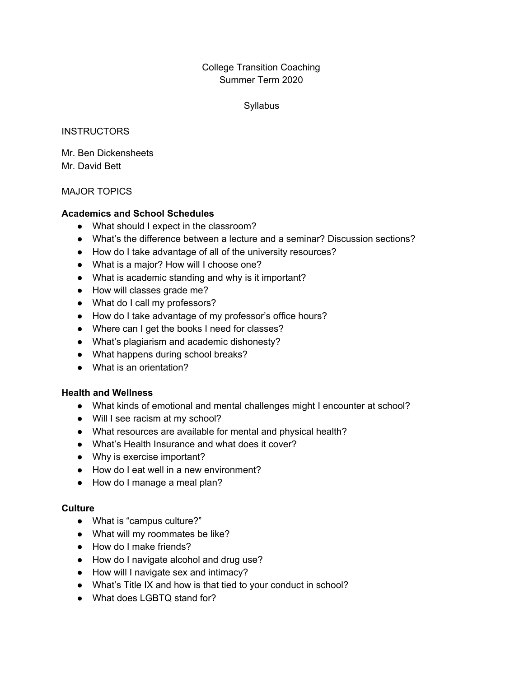### College Transition Coaching Summer Term 2020

#### **Syllabus**

#### **INSTRUCTORS**

Mr. Ben Dickensheets Mr. David Bett

#### MAJOR TOPICS

#### **Academics and School Schedules**

- What should I expect in the classroom?
- What's the difference between a lecture and a seminar? Discussion sections?
- How do I take advantage of all of the university resources?
- What is a major? How will I choose one?
- What is academic standing and why is it important?
- How will classes grade me?
- What do I call my professors?
- How do I take advantage of my professor's office hours?
- Where can I get the books I need for classes?
- What's plagiarism and academic dishonesty?
- What happens during school breaks?
- What is an orientation?

#### **Health and Wellness**

- What kinds of emotional and mental challenges might I encounter at school?
- Will I see racism at my school?
- What resources are available for mental and physical health?
- What's Health Insurance and what does it cover?
- Why is exercise important?
- How do I eat well in a new environment?
- How do I manage a meal plan?

#### **Culture**

- What is "campus culture?"
- What will my roommates be like?
- How do I make friends?
- How do I navigate alcohol and drug use?
- How will I navigate sex and intimacy?
- What's Title IX and how is that tied to your conduct in school?
- What does LGBTQ stand for?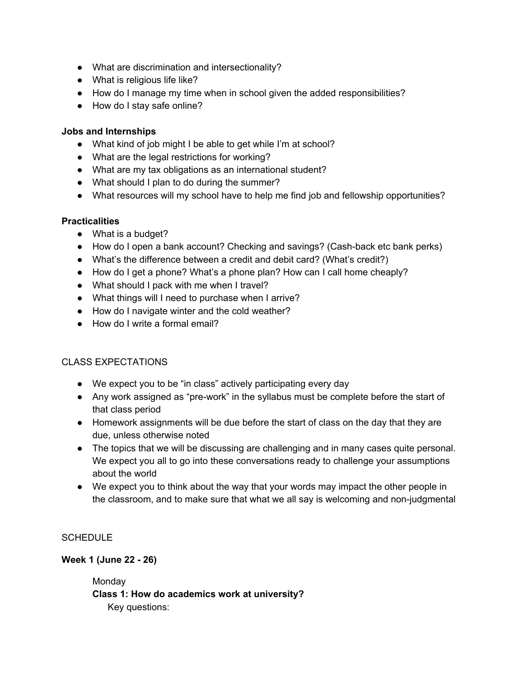- What are discrimination and intersectionality?
- What is religious life like?
- How do I manage my time when in school given the added responsibilities?
- How do I stay safe online?

#### **Jobs and Internships**

- What kind of job might I be able to get while I'm at school?
- What are the legal restrictions for working?
- What are my tax obligations as an international student?
- What should I plan to do during the summer?
- What resources will my school have to help me find job and fellowship opportunities?

## **Practicalities**

- What is a budget?
- How do I open a bank account? Checking and savings? (Cash-back etc bank perks)
- What's the difference between a credit and debit card? (What's credit?)
- How do I get a phone? What's a phone plan? How can I call home cheaply?
- What should I pack with me when I travel?
- What things will I need to purchase when I arrive?
- How do I navigate winter and the cold weather?
- How do I write a formal email?

### CLASS EXPECTATIONS

- We expect you to be "in class" actively participating every day
- Any work assigned as "pre-work" in the syllabus must be complete before the start of that class period
- Homework assignments will be due before the start of class on the day that they are due, unless otherwise noted
- The topics that we will be discussing are challenging and in many cases quite personal. We expect you all to go into these conversations ready to challenge your assumptions about the world
- We expect you to think about the way that your words may impact the other people in the classroom, and to make sure that what we all say is welcoming and non-judgmental

### **SCHEDULE**

### **Week 1 (June 22 - 26)**

**Monday Class 1: How do academics work at university?** Key questions: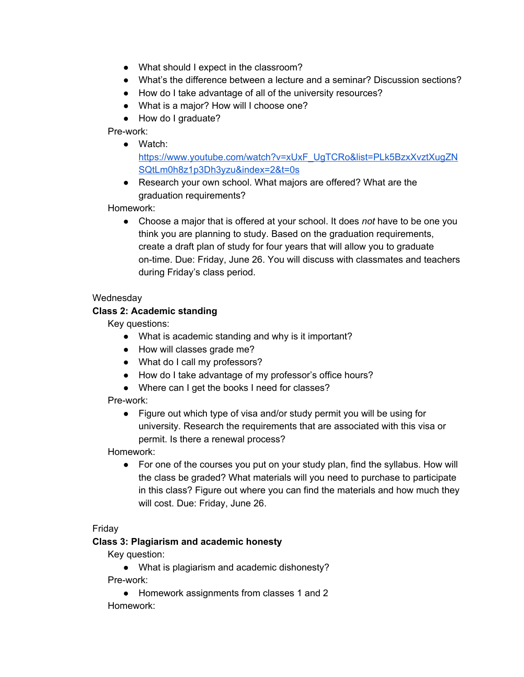- What should I expect in the classroom?
- What's the difference between a lecture and a seminar? Discussion sections?
- How do I take advantage of all of the university resources?
- What is a major? How will I choose one?
- How do I graduate?

Pre-work:

● Watch:

[https://www.youtube.com/watch?v=xUxF\\_UgTCRo&list=PLk5BzxXvztXugZN](https://www.youtube.com/watch?v=xUxF_UgTCRo&list=PLk5BzxXvztXugZNSQtLm0h8z1p3Dh3yzu&index=2&t=0s) [SQtLm0h8z1p3Dh3yzu&index=2&t=0s](https://www.youtube.com/watch?v=xUxF_UgTCRo&list=PLk5BzxXvztXugZNSQtLm0h8z1p3Dh3yzu&index=2&t=0s)

● Research your own school. What majors are offered? What are the graduation requirements?

Homework:

● Choose a major that is offered at your school. It does *not* have to be one you think you are planning to study. Based on the graduation requirements, create a draft plan of study for four years that will allow you to graduate on-time. Due: Friday, June 26. You will discuss with classmates and teachers during Friday's class period.

#### **Wednesday**

### **Class 2: Academic standing**

Key questions:

- What is academic standing and why is it important?
- How will classes grade me?
- What do I call my professors?
- How do I take advantage of my professor's office hours?
- Where can I get the books I need for classes?

Pre-work:

● Figure out which type of visa and/or study permit you will be using for university. Research the requirements that are associated with this visa or permit. Is there a renewal process?

Homework:

● For one of the courses you put on your study plan, find the syllabus. How will the class be graded? What materials will you need to purchase to participate in this class? Figure out where you can find the materials and how much they will cost. Due: Friday, June 26.

### Friday

### **Class 3: Plagiarism and academic honesty**

Key question:

● What is plagiarism and academic dishonesty? Pre-work:

● Homework assignments from classes 1 and 2 Homework: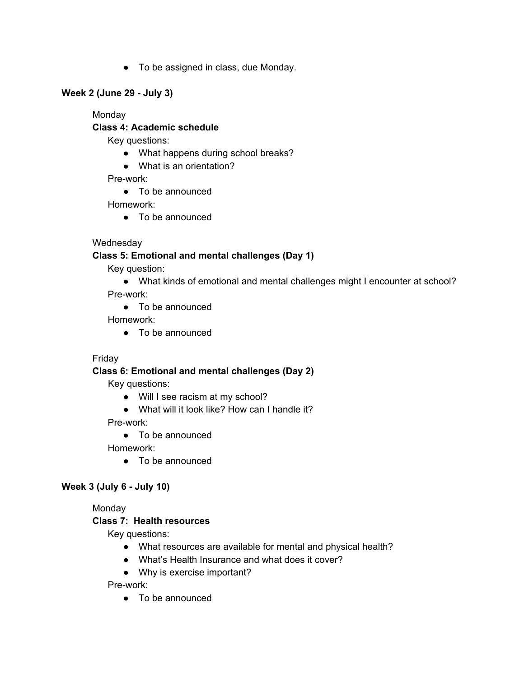● To be assigned in class, due Monday.

### **Week 2 (June 29 - July 3)**

Monday

### **Class 4: Academic schedule**

Key questions:

- What happens during school breaks?
- What is an orientation?

Pre-work:

● To be announced

Homework:

● To be announced

## **Wednesday**

## **Class 5: Emotional and mental challenges (Day 1)**

Key question:

● What kinds of emotional and mental challenges might I encounter at school?

Pre-work:

● To be announced

Homework:

● To be announced

### Friday

## **Class 6: Emotional and mental challenges (Day 2)**

Key questions:

- Will I see racism at my school?
- What will it look like? How can I handle it?

Pre-work:

● To be announced

Homework:

● To be announced

## **Week 3 (July 6 - July 10)**

Monday

### **Class 7: Health resources**

Key questions:

- What resources are available for mental and physical health?
- What's Health Insurance and what does it cover?
- Why is exercise important?

Pre-work: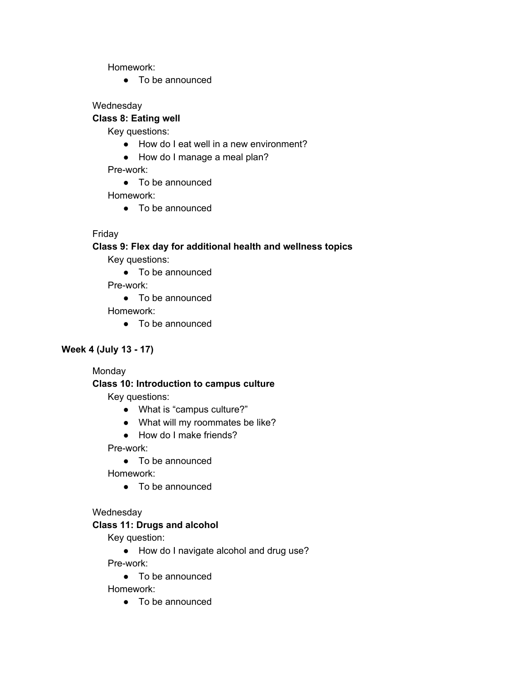Homework:

● To be announced

### **Wednesday**

## **Class 8: Eating well**

Key questions:

- How do I eat well in a new environment?
- How do I manage a meal plan?

Pre-work:

● To be announced

Homework:

● To be announced

## Friday

## **Class 9: Flex day for additional health and wellness topics**

Key questions:

● To be announced

Pre-work:

● To be announced

Homework:

● To be announced

### **Week 4 (July 13 - 17)**

Monday

### **Class 10: Introduction to campus culture**

Key questions:

- What is "campus culture?"
- What will my roommates be like?
- How do I make friends?

Pre-work:

● To be announced

Homework:

● To be announced

### **Wednesday**

### **Class 11: Drugs and alcohol**

Key question:

● How do I navigate alcohol and drug use?

Pre-work:

● To be announced

Homework: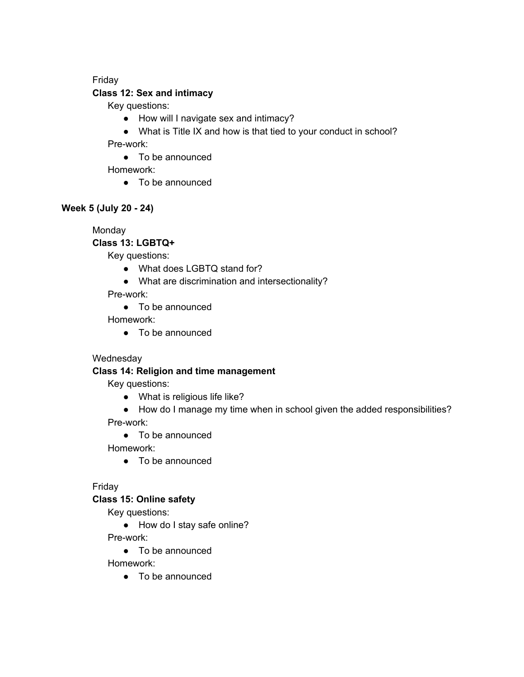#### Friday

#### **Class 12: Sex and intimacy**

Key questions:

- How will I navigate sex and intimacy?
- What is Title IX and how is that tied to your conduct in school? Pre-work:

● To be announced

Homework:

● To be announced

### **Week 5 (July 20 - 24)**

Monday

**Class 13: LGBTQ+**

Key questions:

- What does LGBTQ stand for?
- What are discrimination and intersectionality?

Pre-work:

● To be announced

Homework:

● To be announced

## **Wednesday**

### **Class 14: Religion and time management**

Key questions:

- What is religious life like?
- How do I manage my time when in school given the added responsibilities?

Pre-work:

● To be announced

Homework:

● To be announced

## Friday

### **Class 15: Online safety**

Key questions:

● How do I stay safe online?

Pre-work:

● To be announced

Homework: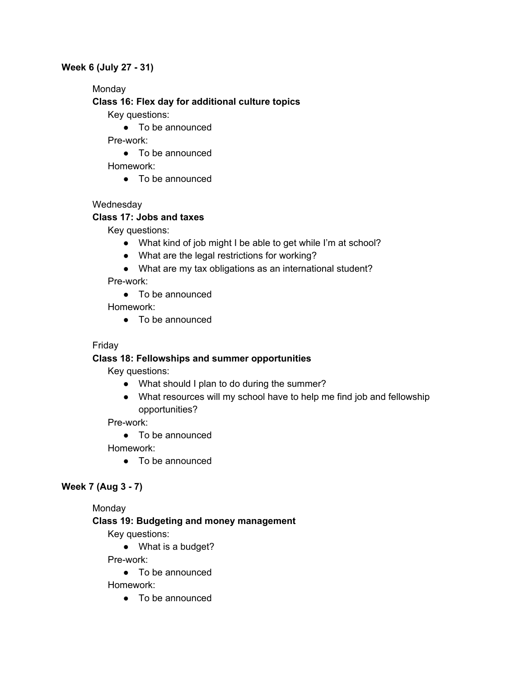#### **Week 6 (July 27 - 31)**

Monday

### **Class 16: Flex day for additional culture topics**

Key questions:

● To be announced

Pre-work:

● To be announced

Homework:

● To be announced

## **Wednesday**

## **Class 17: Jobs and taxes**

Key questions:

- What kind of job might I be able to get while I'm at school?
- What are the legal restrictions for working?
- What are my tax obligations as an international student?

Pre-work:

● To be announced

Homework:

● To be announced

## Friday

## **Class 18: Fellowships and summer opportunities**

Key questions:

- What should I plan to do during the summer?
- What resources will my school have to help me find job and fellowship opportunities?

Pre-work:

● To be announced

Homework:

● To be announced

## **Week 7 (Aug 3 - 7)**

### Monday

## **Class 19: Budgeting and money management**

Key questions:

● What is a budget?

Pre-work:

● To be announced

Homework: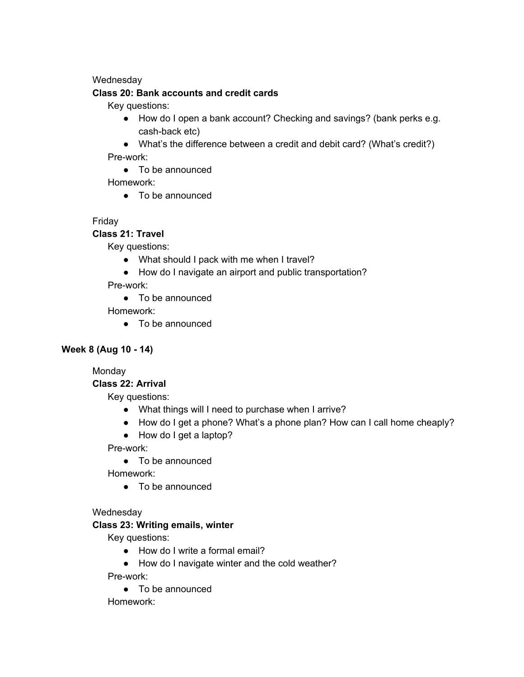#### **Wednesday**

#### **Class 20: Bank accounts and credit cards**

Key questions:

- How do I open a bank account? Checking and savings? (bank perks e.g. cash-back etc)
- What's the difference between a credit and debit card? (What's credit?) Pre-work:
	- To be announced

Homework:

● To be announced

## Friday

**Class 21: Travel**

Key questions:

- What should I pack with me when I travel?
- How do I navigate an airport and public transportation?

Pre-work:

● To be announced

Homework:

● To be announced

### **Week 8 (Aug 10 - 14)**

Monday

### **Class 22: Arrival**

Key questions:

- What things will I need to purchase when I arrive?
- How do I get a phone? What's a phone plan? How can I call home cheaply?
- How do I get a laptop?

Pre-work:

● To be announced

Homework:

● To be announced

### **Wednesday**

### **Class 23: Writing emails, winter**

Key questions:

- How do I write a formal email?
- How do I navigate winter and the cold weather?

Pre-work:

● To be announced

Homework: